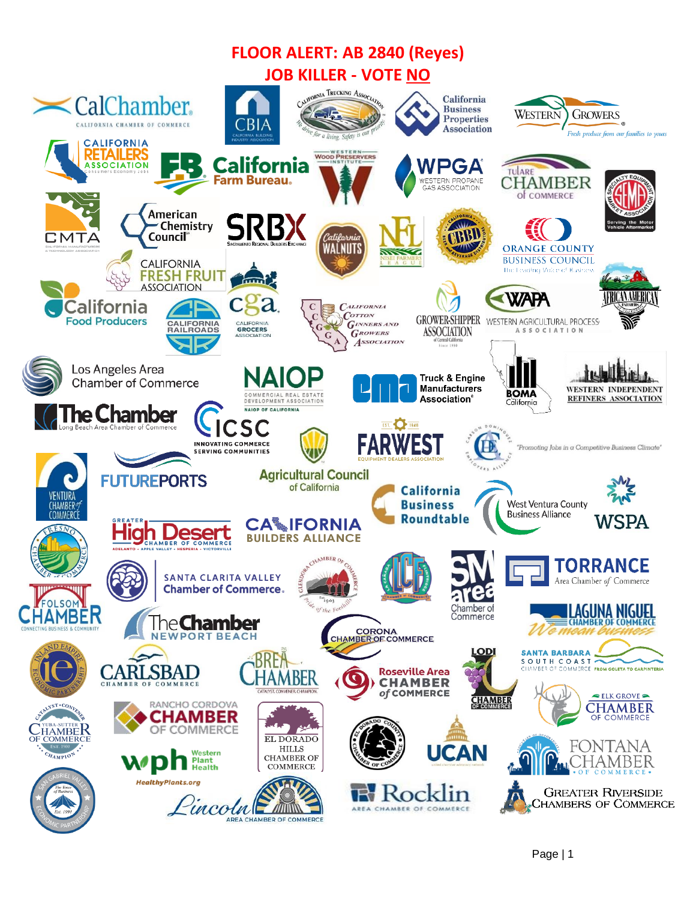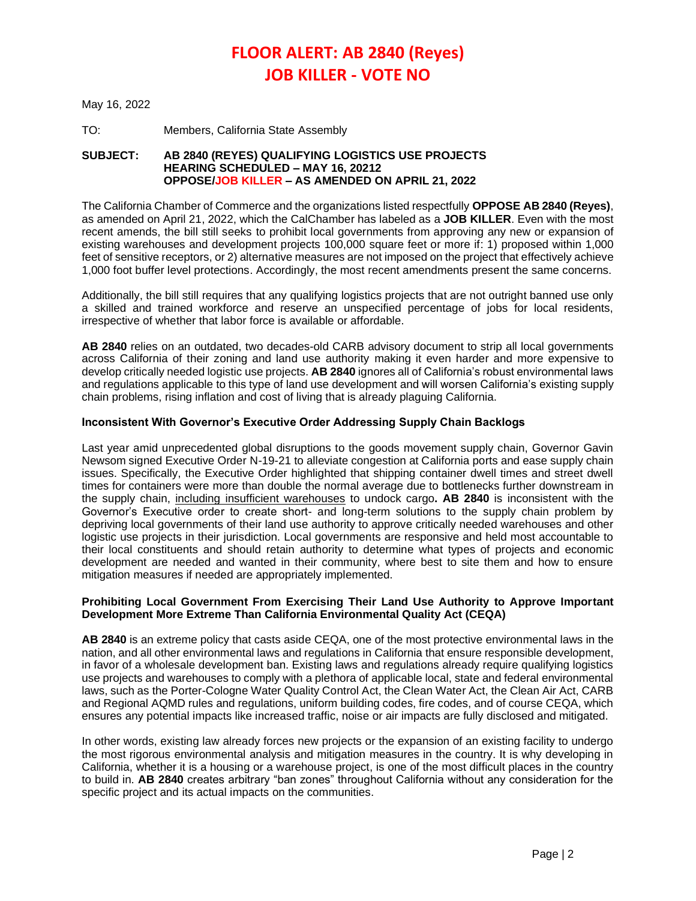# **FLOOR ALERT: AB 2840 (Reyes) JOB KILLER - VOTE NO**

May 16, 2022

TO: Members, California State Assembly

## **SUBJECT: AB 2840 (REYES) QUALIFYING LOGISTICS USE PROJECTS HEARING SCHEDULED – MAY 16, 20212 OPPOSE/JOB KILLER – AS AMENDED ON APRIL 21, 2022**

The California Chamber of Commerce and the organizations listed respectfully **OPPOSE AB 2840 (Reyes)**, as amended on April 21, 2022, which the CalChamber has labeled as a **JOB KILLER**. Even with the most recent amends, the bill still seeks to prohibit local governments from approving any new or expansion of existing warehouses and development projects 100,000 square feet or more if: 1) proposed within 1,000 feet of sensitive receptors, or 2) alternative measures are not imposed on the project that effectively achieve 1,000 foot buffer level protections. Accordingly, the most recent amendments present the same concerns.

Additionally, the bill still requires that any qualifying logistics projects that are not outright banned use only a skilled and trained workforce and reserve an unspecified percentage of jobs for local residents, irrespective of whether that labor force is available or affordable.

**AB 2840** relies on an outdated, two decades-old CARB advisory document to strip all local governments across California of their zoning and land use authority making it even harder and more expensive to develop critically needed logistic use projects. **AB 2840** ignores all of California's robust environmental laws and regulations applicable to this type of land use development and will worsen California's existing supply chain problems, rising inflation and cost of living that is already plaguing California.

# **Inconsistent With Governor's Executive Order Addressing Supply Chain Backlogs**

Last year amid unprecedented global disruptions to the goods movement supply chain, Governor Gavin Newsom signed Executive Order N-19-21 to alleviate congestion at California ports and ease supply chain issues. Specifically, the Executive Order highlighted that shipping container dwell times and street dwell times for containers were more than double the normal average due to bottlenecks further downstream in the supply chain, including insufficient warehouses to undock cargo**. AB 2840** is inconsistent with the Governor's Executive order to create short- and long-term solutions to the supply chain problem by depriving local governments of their land use authority to approve critically needed warehouses and other logistic use projects in their jurisdiction. Local governments are responsive and held most accountable to their local constituents and should retain authority to determine what types of projects and economic development are needed and wanted in their community, where best to site them and how to ensure mitigation measures if needed are appropriately implemented.

## **Prohibiting Local Government From Exercising Their Land Use Authority to Approve Important Development More Extreme Than California Environmental Quality Act (CEQA)**

**AB 2840** is an extreme policy that casts aside CEQA, one of the most protective environmental laws in the nation, and all other environmental laws and regulations in California that ensure responsible development, in favor of a wholesale development ban. Existing laws and regulations already require qualifying logistics use projects and warehouses to comply with a plethora of applicable local, state and federal environmental laws, such as the Porter-Cologne Water Quality Control Act, the Clean Water Act, the Clean Air Act, CARB and Regional AQMD rules and regulations, uniform building codes, fire codes, and of course CEQA, which ensures any potential impacts like increased traffic, noise or air impacts are fully disclosed and mitigated.

In other words, existing law already forces new projects or the expansion of an existing facility to undergo the most rigorous environmental analysis and mitigation measures in the country. It is why developing in California, whether it is a housing or a warehouse project, is one of the most difficult places in the country to build in. **AB 2840** creates arbitrary "ban zones" throughout California without any consideration for the specific project and its actual impacts on the communities.